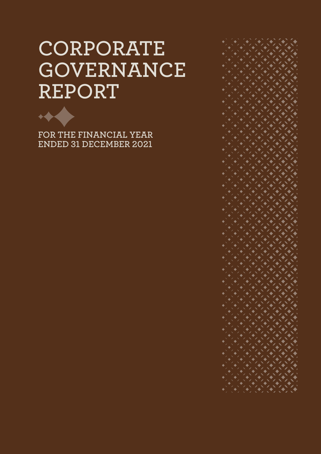# **CORPORATE GOVERNANCE REPORT**



 $\blacktriangleright$ 

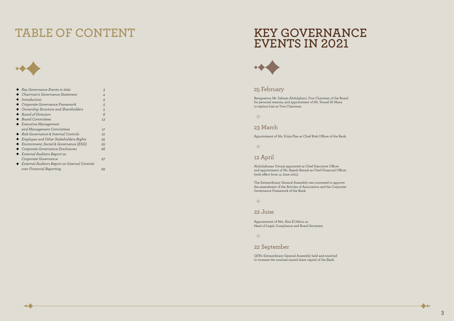## 25 February

Resignation Mr. Salman Abdulghani, Vice Chairman of the Board for personal reasons, and appointment of Mr. Yousef Al Mana to replace him as Vice Chairman.

 $\langle \rangle$ 

## 23 March

Appointment of Ms. Fulya Plas as Chief Risk Officer of the Bank.

## 12 April

Abdulrahman Totonji appointed as Chief Executive Officer and appointment of Mr. Rajesh Bansal as Chief Financial Officer (with effect from 14 June 2021).

The Extraordinary General Assembly was convened to approve the amendment of the Articles of Association and the Corporate Governance Framework of the Bank.

### 22 June

Appointment of Mrs. Rita El Helou as Head of Legal, Compliance and Board Secretary.

## 22 September

QFB's Extraordinary General Assembly held and resolved to increase the nominal issued share capital of the Bank.

 $\blacklozenge$ 

## **KEY GOVERNANCE EVENTS IN 2021**



## **TABLE OF CONTENT**



 $\leftrightarrow$ 

| Key Governance Events in 2021                 | 3.  |  |
|-----------------------------------------------|-----|--|
| Chairman's Governance Statement               | 4   |  |
| Introduction                                  | 5   |  |
| Corporate Governance Framework                | 5   |  |
| Ownership Structure and Shareholders          | 5   |  |
| Board of Directors                            | 6   |  |
| <b>Board Committees</b>                       | 13  |  |
| Executive Management                          |     |  |
| and Management Committees                     | 17  |  |
| Risk Governance & Internal Controls           | 2.1 |  |
| Employee and Other Stakeholders Rights        | 25  |  |
| Environment, Social & Governance (ESG)        | 25  |  |
| Corporate Governance Disclosures              | 26  |  |
| External Auditors Report on                   |     |  |
| Corporate Governance                          | 27  |  |
| External Auditors Report on Internal Controls |     |  |
| over Financial Reporting                      | 29  |  |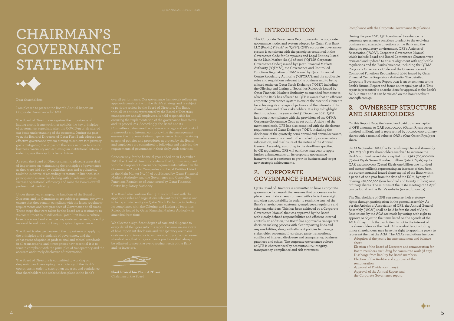## **CHAIRMAN'S GOVERNANCE STATEMENT**



#### Dear shareholders,

rements and best practices of Governance at all times.<br>quirements and best practices of Governance at all times

## **1. INTRODUCTION**

This Corporate Governance Report presents the corporate governance model and system adopted by Qatar First Bank LLC (Public) ("Bank" or "QFB"). QFB's corporate governance system is consistent with the principles contained in the Governance Code for Companies and Legal Entities Listed in the Main Market No. (5) of 2016 ("QFMA Corporate Governance Code") issued by Qatar Financial Markets Authority ("QFMA"), the Governance and Controlled Functions Regulation of 2020 issued by Qatar Financial Centre Regulatory Authority ("QFCRA"), and the applicable rules and regulations relevant to its business and to being a listed entity on Qatar Stock Exchange ("QSE") including the Offering and Listing of Securities Rulebook issued by Qatar Financial Markets Authority as amended from time to which the Bank has adhered to. QFB is aware that an efficient corporate governance system is one of the essential elements for achieving its strategic objectives and the interests of its shareholders and other stakeholders. It is key to highlight that throughout the year ended 31 December 2021, QFB has been in compliance with the provisions of the QFMA Corporate Governance Code as set out in Article 3 of the mentioned code. QFB has also complied with the disclosure requirements of Qatar Exchange ("QE"), including the disclosure of the quarterly, semi-annual and annual accounts, immediate announcement to the market of price-sensitive information, and disclosure of the notice of the Annual General Assembly, according to the deadlines specified by QE regulations. QFB will continue next year to apply further enhancements on its corporate governance framework as it continues to grow its business and target new strategic achievements.

## **2. CORPORATE GOVERNANCE FRAMEWORK**

QFB's Board of Directors is committed to have a corporate governance framework that ensures that processes are in place to maintain an environment with efficient oversight and clear accountability in order to retain the trust of the Bank's shareholders, customers, employees, regulators and other stakeholders. This has been achieved by a Corporate Governance Manual that was approved by the Board with clearly defined responsibilities and efficient internal controls. In addition, the Board has approved a transparent decision-making process with clear reporting lines and responsibilities, along with efficient policies to manage stakeholder accountability, related party transactions, conflicts of interest, disclosure and transparency, business practices and ethics. The corporate governance culture at QFB is characterized by accountability, integrity, transparency, compliance and risk awareness.

 $\leftrightarrow$ 

#### Compliance with the Corporate Governance Regulations

During the year 2021, QFB continued to enhance its corporate governance practices to adapt to the evolving business and strategic directions of the Bank and the changing regulatory environment. QFB's Articles of Association ("AOA"), Corporate Governance Manual which include Board and Board Committees Charters were reviewed and updated to ensure alignment with applicable regulations and the Bank's business, including the QFMA Corporate Governance Code and the Governance and Controlled Functions Regulation of 2020 issued by Qatar Financial Centre Regulatory Authority. The detailed Corporate Governance Report 2021 is an attachment to the Bank's Annual Report and forms an integral part of it. This report is presented to shareholders for approval at the Bank's AGA in 2022 and it can be viewed on the Bank's website www.qfb.com.qa

## **3. OWNERSHIP STRUCTURE AND SHAREHOLDERS**

On this Report Date, the issued and paid up share capital of QFB amounts to QAR 700,000,000 (Qatari Riyals seven hundred million), and is represented by 700,000,000 ordinary shares with a nominal value of QAR 1 (One Qatari Riyal) per share.

On 22 September 2021, the Extraordinary General Assembly ("EGM") of QFB's shareholders resolved to increase the Bank's nominal issued share capital from QAR 700,000,000 (Qatari Riyals Seven Hundred million Qatari Riyals) up to QAR 1,120,000,000 (Qatari Riyals one billion one hundred and twenty million), representing an increase of 60% from the current nominal issued share capital of the Bank within a period of one year from the date of the EGM, by way of offering 420,000,000 (four hundred and twenty million) new ordinary shares. The minutes of the EGM meeting of 12 April can be found on the Bank's website (www.qfb.com.qa) .

The Shareholders of QFB can exercise their statutory rights through participation in the general assembly. As per the Articles of Association of QFB, the Annual General Assembly ("AGA") shall be held before the end of April. Resolutions by the AGA are made by voting, with right to approve or object to the items listed on the agenda of the AGA if they think that such item is not in the interest of the shareholders or the Bank. All shareholders, including minor shareholders, may have the right to appoint a proxy to represent them at the AGA. The AGA's resolutions include:

- Adoption of the yearly income statement and balance sheet
- Election of the Board of Directors and remuneration for Board members, including for committee work (if any)
- Discharge from liability for Board members
- Election of the Auditor and approval of their remuneration
- Approval of Dividends (if any)
- Approval of the Annual Report and the Corporate Governance report.



**Sheikh Faisal bin Thani Al Thani** 

 $\blacklozenge$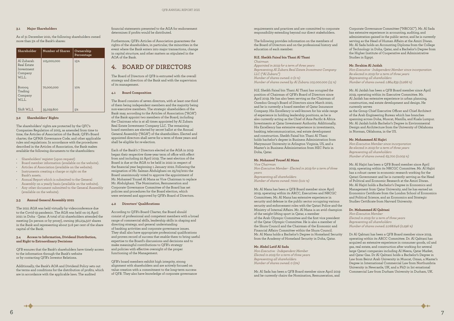#### **3.1 Major Shareholders**

As of 31 December 2021, the following shareholders owned more than 5% of the Bank's shares:

| Shareholder                                                  | <b>Number of Shares</b> | Ownership<br>Percentage |
|--------------------------------------------------------------|-------------------------|-------------------------|
| Al Zubarah<br>Real Estate<br>Investment<br>Company<br>W.L.L. | 105,000,000             | 15%                     |
| Boroog<br>Trading<br>Company<br>W.L.L.                       | 70,000,000              | 10%                     |
| Shift W.L.L                                                  | 35,029,600              | 5%                      |

#### **3.2 Shareholders' Rights**

The shareholders' rights are protected by the QFC's Companies Regulation of 2005, as amended from time to time, the Articles of Association of the Bank, QFB's Board charter, the QFMA Governance Code, and other applicable rules and regulations. In accordance with the procedures described in the Articles of Association, the Bank makes available the following documents to the shareholders:

- Shareholders' register (upon request)
- Board member information (available on the website).
- Articles of Association (available on the website).
- Instruments creating a charge or right on the Bank's assets.
- Annual Report which is submitted to the General Assembly on a yearly basis (available on the website). • Any other document submitted to the General Assembly
- (available on the website).

#### **3.3 Annual General Assembly 2021**

The 2021 AGA was held virtually by videoconference due to the Covid-19 pandemic. The AGA was held on 05 April 2021 in Doha - Qatar. A total of 22 shareholders attended the meeting (in person or by proxy), owning 361,234,507 shares in the Bank and representing about 51.6 per cent of the share capital of the Bank.

#### **3.4 Access to Information, Dividend Distribution, and Right to Extraordinary Decisions**

QFB ensures that the Bank's shareholders have timely access to the information through the Bank's website or by contacting QFB's Investor Relations.

Additionally, the Bank's AOA and Dividend Policy sets out the terms and conditions for the distribution of profits, which are in accordance with the applicable laws. The audited

financial statements presented to the AGA for endorsement determines if profits would be distributed.

Furthermore, QFB's Articles of Association guarantees the rights of the shareholders, in particular, the minorities in the event where the Bank enters into major transactions, change in capital structure, and other matters as stipulated in the AOA of the Bank.

## **4. BOARD OF DIRECTORS**

The Board of Directors of QFB is entrusted with the overall strategy and direction of the Bank and with the supervision of its management.

#### **4.1 Board Composition**

The Board consists of seven directors, with at least one-third of them being independent members and the majority being non-executive members. The strategic shareholders of the Bank may, according to the Articles of Association ("AOA") of the Bank appoint two members of the Board, including the Chairman who is at all times appointed by Al Zubara Real Estate Investment Company LLC. The remaining board members are elected by secret ballot at the Annual General Assembly ("AGA") of the shareholders. Elected and appointed directors shall serve for a term of three years and shall be eligible for re-election.

Each of the Bank's 7 Directors elected at the AGA in 2019 began their respective three-year term of office with effect from and including 22 April 2019. The next election of the Board is due at the AGA to be held in 2022 in respect of the financial year beginning 1 January 2022. Following the resignation of Mr. Salman Abdulghani on 25/02/2021 the Board unanimously voted to approve the appointment of Mr. Mohamed Yousef Al Mana as Vice Chairman to replace Mr. Abdulghani. The Nomination, Remuneration and Corporate Governance Committee of the Board has set policies and procedures for the Board election, which were reviewed and approved by QFB's Board of Directors.

#### **4.2 Directors' Qualifications**

According to QFB's Board Charter, the Board should consist of professional and competent members with a broad range of commercial skills, leadership skills in shaping and directing strategy, and general understanding of banking activities and corporate governance issues. They shall also have appropriate professional qualifications and proven record of success that enable them to bring useful expertise to the Board's discussions and decisions and to make meaningful contributions to QFB's strategy and policies with effective oversight of the proper functioning of the Management.

QFB's board members exhibit high integrity, strong alignment with shareholders and are actively focused on value creation with a commitment to the long-term success of QFB. They also have knowledge of corporate governance requirements and practices and are committed to corporate responsibility extending beyond our direct stakeholders.

The following provides information on the members of the Board of Directors and on the professional history and education of each member:

### **H.E. Sheikh Faisal bin Thani Al Thani**

*Chairman Appointed in 2019 for a term of three years Representing Al Zubara Real Estate Investment Company LLC ("Al Zubara") Number of shares owned: 0 (0 %) Number of shares owned by Al Zubara: 105.000.000 (15 %)*

H.E. Sheikh Faisal bin Thani Al Thani has occupied the position of Chairman of QFB's Board of Directors since April 2019. He has also been serving as the Chairman of Ooredoo Group's Board of Directors since March 2020, and he is currently a board member of Qatar Insurance Company. His Excellency is well-known for his wide range of experience in holding leadership positions, as he is also currently acting as the Chief of Asia-Pacific & Africa Investments at Qatar Investment Authority. Additionally, His Excellency has extensive experience in investments, banking, telecommunication, real estate development and construction. Sheikh Faisal bin Thani Al Thani holds bachelor's degree in Business Administration from Marymount University in Arlington Virginia, US, and a Master's in Business Administration from HEC Paris in Doha, Qatar.

#### **Mr. Mohamed Yousef Al Mana**

*Vice Chairman Non-Executive Member - Elected in 2019 for a term of three years Representing all shareholders Number of shares owned: 7000 (0.01 %)*

Mr. Al Mana has been a QFB Board member since April 2019, operating within its ARCC, Executives and NRCGC Committees. Mr. Al Mana has extensive experience in security and defense in the public sector occupying various security and enforcement roles with the Qatari Police and the Ministry of Internal Affairs. Mr. Al Mana is an avid champion of the weight-lifting sport in Qatar, a member of the Arab Olympic Committee and the first vice president of the Qatar Olympic Committee. He is also a member of the Shura Council and the Chairman of the Economic and Financial Affairs Committee within the Shura Council. Mr. Al Mana holds a Bachelor's Degree in Homeland Security from the Academy of Homeland Security in Doha, Qatar.

#### **Mr. Abdel Latif Al Sada**

*Non-Executive - Independent Member Elected in 2019 for a term of three years Representing all shareholders Number of shares owned: 0 (0%)*

Mr. Al Sada has been a QFB Board member since April 2019 and he currently chairs the Nomination, Remuneration, and

 $\sim$  4

Corporate Governance Committee ("NRCGC"). Mr. Al Sada has extensive experience in accounting, auditing, and administration gained in the public sector, and he is currently serving as the Head of Human Affairs at the Amiri Diwan. Mr. Al Sada holds an Accounting Diploma from the College of Technology in Doha, Qatar, and a Bachelor's Degree from the Higher Institute of Cooperative and Administrative Studies in Egypt.

#### **Mr. Ibrahim Al Jaidah**

*Non-Executive - Independent Member since incorporation Re-elected in 2019 for a term of three years Representing all shareholders Number of shares owned: 1.864.839 (0.266 %)*

Mr. Al Jaidah has been a QFB Board member since April 2019, operating within its Executive Committee. Mr. Al Jaidah has extensive experience in urban planning, construction, real estate development and design. He currently serves

as the Group Chief Executive Officer and Chief Architect of the Arab Engineering Bureau which has branches spanning across Doha, Muscat, Manilla, and Kuala Lumpur. Mr. Al Jaidah holds Bachelor's Degree in Environmental Design and Architecture from the University of Oklahoma in Norman, Oklahoma, in the US.

#### **Mr. Mohammed Al Hajiri**

*Non-Executive Member since incorporation Re-elected in 2019 for a term of three years Representing all shareholders Number of shares owned: 63.700 (0.009 %)*

Mr. Al Hajiri has been a QFB Board member since April 2019, operating within its NRCGC Committee. Mr. Al Hajiri has a robust career in economic research working for the Qatari Government and he is currently serving as the Head of Political and Economic Research at the Amiri Diwan. Mr. Al Hajiri holds a Bachelor's Degree in Economics and Management from Qatar University, and he has earned an Economics Certificate from the London School of Economics and Political Science, and an Economics and Strategic Studies Certificate from Harvard University.

#### **Dr. Mohammed Al Qahtani**

*Non-Executive Member Elected in 2019 for a term of three years Representing all shareholders Number of shares owned: 2.068.646 (0.296 %)*

Dr Al Qahtani has been a QFB Board member since 2019, operating within its ARCC Committee. Dr. Al Qahtani has acquired an extensive experience in consumer goods, oil and gas, real estate, and construction after working for several large Qatari companies including Al Meera, Qatar Market, and Qatar Gas. Dr Al Qahtani holds a Bachelor's Degree in Law from Beirut Arab University in Muscat, Oman, a Master's Degree in International Commercial Law from Northumbria University in Newcastle, UK, and a PhD in Int ernational Commercial Law from Durham University in Durham, UK.

 $\blacklozenge$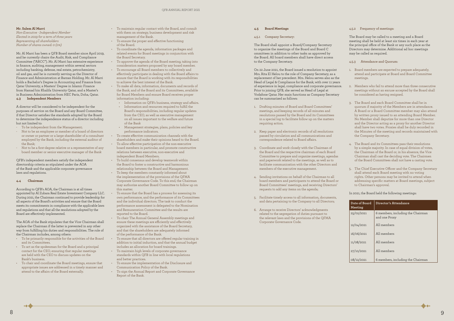#### **Mr. Salem Al Marri**

*Non-Executive - Independent Member Elected in 2019 for a term of three years Representing all shareholders Number of shares owned: 0 (0%)*

Mr. Al Marri has been a QFB Board member since April 2019, and he currently chairs the Audit, Risk, and Compliance Committee ("ARCC"). Mr. Al Marri has extensive experience in finance, auditing, management within several sectors including banking, defense, real estate, petrochemistry, oil and gas, and he is currently serving as the Director of Finance and Administration at Barzan Holding. Mr. Al Marri holds a Bachelor's Degree in Accounting and Finance from Qatar University, a Masters' Degree in Islamic Finance from Hamad bin Khalifa University Qatar, and a Master's in Business Administration from HEC Paris, Doha, Qatar. **4.3 Independent Members** 

QFB's independent members satisfy the independent directorship criteria as stipulated under the AOA of the Bank and the applicable corporate governance laws and regulations.

A director will be considered to be independent for the purposes of service on the Board and any Board Committee, if that Director satisfies the standards adopted by the Board to determine the independence status of a director including but not limited to:

- To be independent from the Management;
- Not to be an employee or member of a board of directors or owner or partner or a large shareholder of a consultant employed by the Bank, including the external auditor of the Bank;
- Not to be a first-degree relative or a representative of any board member or senior executive manager of the Bank

#### **4.4 Chairman**

According to QFB's AOA, the Chairman is at all times appointed by Al Zubara Real Estate Investment Company LLC. During 2021, the Chairman continued to provide leadership for all aspects of the Board's activities and ensure that the Board meets its commitments in compliance with the applicable laws and regulations and that all the resolutions adopted by the Board are effectively implemented.

The AOA of the Bank stipulates that the Vice Chairman shall replace the Chairman if the latter is prevented in any other way from fulfilling his duties and responsibilities. The role of the Chairman includes, among others:

- To be primarily responsible for the activities of the Board and its Committees.
- To act as the spokesman for the Board and a principal contact for the CEO, ensuring that regular meetings are held with the CEO to discuss updates on the Bank's business.
- To chair and coordinate the Board meetings, ensure that appropriate issues are addressed in a timely manner and attend to the affairs of the Board externally.
- To maintain regular contact with the Board, and consult with them on strategy, business development and risk management of the Bank.
- To ensure the proper and effective functioning of the Board.
- To coordinate the agenda, information packages and related events for Board meetings in conjunction with the Board Secretary.
- To approve the agenda of the Board meeting, taking into consideration matters proposed by any board member.
- To encourage all Board members to collectively and effectively participate in dealing with the Board affairs to ensure that the Board is working with its responsibilities to achieve the best interest of the Bank.
- To make all data, information, documents and records of the Bank, and of the Board and its Committees, available for Board Members and ensure Board receives proper information including:
	- Information on QFB's business, strategy and affairs.
	- Information and resources required to fulfill the Board's responsibilities, including regular updates from the CEO, as well as executive management on all issues important to the welfare and future of the Bank
	- Management strategies, plans, policies and key performance indicators.
- To create effective communication channels with the shareholders and make their opinions heard to the Board.
- To allow effective participation of the non-executive board members in particular, and promote constructive relations between executive, non-executive and independent Board Members.
- To build consensus and develop teamwork within the Board to foster a constructive and harmonious relationship between the Board and Management.
- To keep the members constantly informed about the implementation of the provisions of the QFMA Corporate Governance Code. To this end, the Chairman may authorize another Board Committee to follow up on this matter.
- To ensure that the Board has a process for assessing its own performance, and the performance of its Committees and the individual directors. The task to conduct the performance assessment is delegated to the Nomination and Remuneration Committee and the results are reported to the Board.
- To chair The Annual General Assembly meetings and ensure these meetings are efficiently and effectively organized with the assistance of the Board Secretary, and that the shareholders are adequately informed of the performance of the Bank.
- To ensure that all directors are offered regular training in addition to initial induction, and that the annual budget includes an allocation for board trainings.
- To maintain high levels of corporate governance standards within QFB in line with local regulations and better practices.
- To ensure the implementation of the Disclosure and Communication Policy of the Bank.
- To sign the Annual Report and Corporate Governance Report of the Bank.

#### **4.5 Board Meetings**

4.5.1 Company Secretary:

The Board shall appoint a Board/Company Secretary to organize the meetings of the Board and Board C ommittees in addition to other tasks as approved by the Board. All board members shall have direct access to the Company Secretary.

On 22 June 2021, the Board issued a resolution to appoint Mrs. Rita El Helou to the role of Company Secretary, as a replacement of her precedent. Mrs. Helou serves also as the Head of Legal & Compliance for the Bank, with over 11 years of experience in legal, compliance and corporate governance. Prior to joining QFB, she served as Head of Legal at Vodafone Qatar. Her main functions as Company Secretary can be summarized as follows:

- 1. Drafting minutes of Board and Board Committees' meetings, and keeping records of all minutes and resolutions passed by the Board and its Committees in a special log to facilitate follow up on the matters requiring action.
- 2. Keep paper and electronic records of all resolutions passed by circulation and all communications and correspondence related to Board affairs.
- 3. Coordinate and work closely with the Chairman of the Board and the respective chairman of each Board Committee to prepare and organize meetings, agendas and paperwork related to the meetings, as well as to facilitate communication with the other Directors and members of the executive management.
- 4. Sending invitations on behalf of the Chairman to all board members and participants to attend the Board or Board Committees' meetings, and receiving Directors' requests to add any items on the agenda;
- 5. Facilitate timely access to all information, documents, and data pertaining to the Company to all Directors;
- 6. Arrange to receive Directors' acknowledgments related to the segregation of duties pursuant to the relevant laws and the provisions of the QFMA Corporate Governance Code.

 $\sim$  4

#### 4.5.2 Frequency of meetings:

The Board may be called to a meeting and a Board meeting shall be held at least six times in each year at the principal office of the Bank or any such place as the Directors may determine. Additional ad hoc meetings may be called as required.

4.5.3 Attendance and Quorum:

- 1. Board members are expected to prepare adequately, attend and participate at Board and Board Committee meetings.
- 2. Members who fail to attend more than three consecutive meetings without an excuse accepted by the Board shall be considered as having resigned.
- 3. The Board and each Board Committee shall be in quorum if majority of the Members are in attendance. A Board or a Board Committee member may also attend by written proxy issued to an attending Board Member. No Member shall deputize for more than one Director and the Director acting as a proxy for another Director shall have two votes. Proxies shall be duly recorded in the Minutes of the meeting and records maintained with the Company Secretary.
- 4. The Board and its Committees pass their resolutions by a simple majority. In case of equal division of votes, the Chairman of the Board or, in his absence, the Vice Chairman shall cast the deciding vote. The Chairmen of the Board Committees shall not have a casting vote.
- 5. The Chief Executive Officer and the Company Secretary shall attend each Board meeting with no voting rights. Other persons may be invited to attend when addressing specific matters at Board meetings, subject to Chairman's approval.

In 2021, the Board held the following meetings:

| Date of Board<br>Meeting | Director's Attendance                              |
|--------------------------|----------------------------------------------------|
| 25/02/2021               | 6 members, including the Chairman<br>and one Proxy |
| 12/04/2021               | All members                                        |
| 16/06/2021               | All members                                        |
| 11/08/2021               | All members                                        |
| 27/10/2021               | All members                                        |
| 08/12/2021               | 6 members, including the Chairman                  |

8 9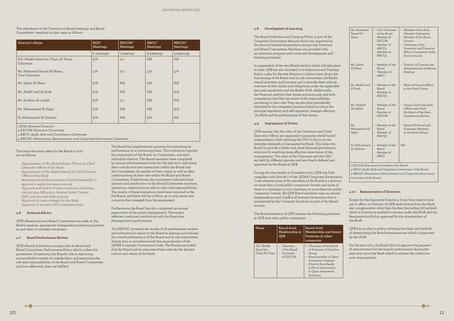#### The attendance of the Directors at Board meetings and Board Committees' meetings in 2021 were as follows:

| Director's Name                                    | BOD <sup>1</sup><br>Meetings | EXCOM <sup>2</sup><br>Meetings | ARCC <sup>3</sup><br>Meetings | NRCGC <sup>4</sup><br>Meetings |
|----------------------------------------------------|------------------------------|--------------------------------|-------------------------------|--------------------------------|
|                                                    | 6 meetings                   | 1 meeting                      | 6 meetings                    | 3 meetings                     |
| H.E. Sheikh Faisal bin Thani Al Thani,<br>Chairman | 6/6                          | 1/1                            | <b>NA</b>                     | <b>NA</b>                      |
| Mr. Mohamed Yousef Al Mana,<br>Vice Chairman       | 5/6                          | O/1                            | 5/6                           | 5/6                            |
| Mr. Salem Al Marri                                 | 6/6                          | <b>NA</b>                      | 6/6                           | <b>NA</b>                      |
| Mr. Abdel Latif Al Sada                            | 6/6                          | <b>NA</b>                      | <b>NA</b>                     | 6/6                            |
| Mr. Ibrahim Al Jaidah                              | 6/6                          | 1/1                            | <b>NA</b>                     | <b>NA</b>                      |
| Mr. Mohammed Al Hajiri                             | 6/6                          | <b>NA</b>                      | <b>NA</b>                     | 6/6                            |
| Dr Mohammed Al Qahtani                             | 6/6                          | <b>NA</b>                      | 6/6                           | <b>NA</b>                      |

*1 BOD: Board of Directors*

*2 EXCOM: Executive Committee*

*3 ARCC: Audit, Risk and Compliance Committee* 

*4 NRCGC: Nomination, Remuneration and Corporate Governance Committee*

The main decisions taken by the Board in 2021 are as follows:

- Appointment of Mr. Abdulrahman Totonji as Chief Executive Officer of the Bank.
- Appointment of Mr. Rajesh Bansal as Chief Finance Officer of the Bank
- Recommend the Extraordinary General Assembly to approve a capital increase proposal
- Approval and review of various policies including: risk policies, HR policy, Internal Audit Charter, AML policies, and other policies.
- Approval of a new strategy for the Bank
- Approval of the exit of PE investment fund

#### **4.6 External Advice**

QFB's Board and each Board Committee may seek, at the Bank's expense, appropriate independent professional advice as and when it considers necessary.

#### **4.7 Board Performance Review**

QFB's Board of Directors comply with its Board and Board Committees Performance Policy which outline the parameters of assessing the Board's role in exercising accountability towards its stakeholders and examining the role and responsibilities of the Board and Board Committees and how effectively they are fulfilled.

The Board has implemented a process for evaluating its performance on a continuing basis. This evaluation requires the assessment of the Board, its Committees, and each individual director. The Board members have completed an annual self-assessment form for the year 2021 indicating their contribution and interaction within the Board and the Committees, the quality of their output as well as their understanding of their role within the Board and Board Committees. Furthermore, the assessment indicated their opinion and satisfaction on the Board/Committee structure, operations, interactions as well as roles and responsibilities. The results of these evaluations have been reported to the full Board, and there will be a follow-up on any issues and concerns that emerged from the assessment.

Furthermore, the Board has also completed an annual assessment of the senior management. The results reflected continued satisfaction with the Executive Management's performance.

The NRCGC reviewed the results of all performance reviews and submitted its report to the Board to discuss and evaluate the overall performance of the Board and its sub-committees during 2021 in accordance with the requirements of the QFMA Corporate Governance Code. The Board concluded that the Board and its subcommittees embody the desired culture and values of the Bank.

#### **4.8 Development & Learning**

The Board Induction and Training Policy is part of the Corporate Governance Manual which was approved by the Annual General Assembly to ensure that Directors and Board Committees Members are provided with an induction program and continued development and learning programs.

In preparation of the new Board election which will take place in 2022, QFB has also included in its Induction and Training Policy a plan for the new directors to inform them about the functioning of the Board and its sub-committees, the Bank's overall activities and business and to provide them with an overview of their duties and obligations under the applicable laws and regulations and the Bank's AOA. Additionally, the Directors perform their duties autonomously and with competence, and they are aware of the responsibilities pertaining to their role. They are also kept periodically informed by the competent business functions about the principal regulatory and self-regulatory changes affecting the Bank and the performance of their duties.

#### **4.9 Segregation of Duties**

QFB ensures that the roles of the Chairman and Chief Executive Officer are separated to promote overall board independence while allowing the CEO to focus on the everyday demands of managing the Bank. This helps the Board to provide a better and more balanced governance structure by enabling more effective supervision of the management. The roles of the Chairman and the CEO are held by different persons and are clearly defined and approved by the Board at QFB.

During the year ended 31 December 2021, QFB was fully compliant with Article 7 of the QFMA Corporate Governance Code whereas none of the members of the Board is a director on more than 3 local public companies' boards and none of them is a chairman or vice chairman on more than two public companies' boards. All QFB Board members sign an annual Independence and Conflict of Interest Declaration that is maintained by the Company Secretary as part of the Board records.

The Board members of QFB assume the following positions at QFB and other public companies:

| Name                                        | Board-level<br>Membership at<br><b>OFB</b>                       | Board-level<br><b>Membership and Senior</b><br>Positions in other<br>companies                                                                                                                  |
|---------------------------------------------|------------------------------------------------------------------|-------------------------------------------------------------------------------------------------------------------------------------------------------------------------------------------------|
| H.E. Sheikh<br>Faisal bin<br>Thani Al Thani | • Chairman<br>of the Board<br>Chairman<br>$\cdot$<br>of $EXCOM1$ | • Chairman of the Board<br>of Directors of Ooredoo<br>Group<br>Board member of Qatar<br>Insurance Company.<br>Chief of Asia-Pacific<br>& Africa Investments<br>at Oatar Investment<br>Authority |

 $10$ 

 $\leftrightarrow$ 

| Mr. Mohamed<br>Yousef Al<br>Mana                          | • Vice Chairman<br>of the Board<br>Member of<br><b>EXCOM</b><br>• Member of<br>ARCC <sub>2</sub><br>Member of<br>NRCG <sub>3</sub> | Member of the Arab<br>Olympic Committee<br>Member of the Shura<br>Council<br>Chairman of the<br>Economic and Financial<br>Affairs Committee of the<br>Shura Council. |  |  |
|-----------------------------------------------------------|------------------------------------------------------------------------------------------------------------------------------------|----------------------------------------------------------------------------------------------------------------------------------------------------------------------|--|--|
| Mr. Salem<br>Al Marri                                     | Member of the<br>Board<br>Member of<br><b>ARCC</b>                                                                                 | Director of Finance and<br>Administration at Barzan<br>Holding                                                                                                       |  |  |
| Mr. Abdel Latif<br>Al Sada                                | • Member of the<br>Board<br>Member of<br><b>NRCGC</b>                                                                              | Head of Human Affairs<br>$\bullet$<br>at the Amiri Diwan                                                                                                             |  |  |
| Mr. Ibrahim<br>Al Jaidah                                  | • Member of the<br>Board<br>• Member of<br><b>EXCOM</b>                                                                            | Group Chief Executive<br>Officer and Chief<br>Architect of the Arab<br>Engineering Bureau.                                                                           |  |  |
| Mr.<br>Mohammed Al<br>Hajiri                              | • Member of the<br><b>Board</b><br>Member of<br><b>NRCGC</b>                                                                       | Head of Political and<br>$\cdot$<br>Economic Research<br>at the Amiri Diwan                                                                                          |  |  |
| Dr Mohammed<br>Al Qahtani                                 | • Member of the<br>Board<br>Member of<br><b>ARCC</b>                                                                               | <b>NA</b>                                                                                                                                                            |  |  |
| 1 EXCOM: Executive Committee of the Board                 |                                                                                                                                    |                                                                                                                                                                      |  |  |
| 2 ARCC: Audit, Risk and Compliance Committee of the Board |                                                                                                                                    |                                                                                                                                                                      |  |  |

*3 NRCGC: Nomination, Remuneration and Corporate Governance* 

*Committee of the Board*

#### **4.10 Remuneration of Directors**

Except for the Executive Directors, if any from time to time are in office, no Director of QFB shall receive from the Bank any compensation other than the fees (including sitting fees) which a Director is entitled to receive under the AOA and the Remuneration Policy approved by the shareholders of the Bank.

QFB has in place a policy outlining the basis and method of determining the Board remunerations which is approved by the AGA.

For the year 2021, the Board did not approve the payment of remuneration for the board's performance during the year 2021 since the Bank failed to achieve the criteria for such remuneration.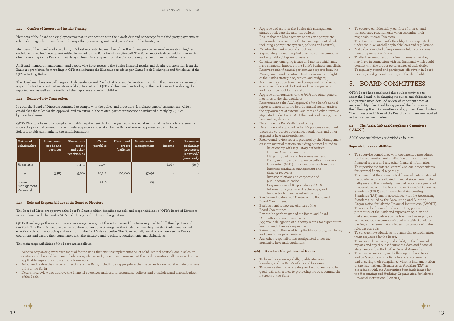#### **4.11 Conflict of Interest and Insider Trading**

Members of the Board and employees may not, in connection with their work, demand nor accept from third-party payments or other advantages for themselves or for any other person or grant third parties' unlawful advantages.

Members of the Board are bound by QFB's best interests. No member of the Board may pursue personal interests in his/her decisions or use business opportunities intended for the Bank for himself/herself. The Board must disclose insider information directly relating to the Bank without delay unless it is exempted from the disclosure requirement in an individual case.

All Board members, management and people who have access to the Bank's financial results and obtain remuneration from the Bank are prohibited from trading in QFB stock during the Blackout periods as per Qatar Stock Exchange's and Article 111 of the QFMA Listing Rules.

The Board members annually sign an Independence and Conflict of Interest Declaration to confirm that they are not aware of any conflicts of interest that exists or is likely to exist with QFB and disclose their trading in the Bank's securities during the reported year as well as the trading of their spouses and minor children.

#### **4.12 Related-Party Transactions**

In 2021, the Board of Directors continued to comply with the policy and procedure for related-parties' transactions, which establishes the rules for the approval and execution of the related-parties transactions conducted directly by QFB or by its subsidiaries.

QFB's Directors have fully complied with this requirement during the year 2021. A special section of the financial statements shows the principal transactions with related-parties undertaken by the Bank whenever approved and concluded. Below is a table summarizing the said information:

- Approve and monitor the Bank's risk management strategy, risk appetite and risk policies;
- Ensure that the Management adopts an appropriate framework to ensure the effective management of risk, including appropriate systems, policies and controls;
- Monitor the Bank's capital structure;
- Supervising the main capital expenses of the company and acquisition/disposal of assets;
- Consider any emerging issues and matters which may have a material impact on the Bank's business and affairs;
- Receive regular financial performance reports from the Management and monitor actual performance in light of the Bank's strategic objectives and budgets;
- Approve the appointment and compensation of senior executive officers of the Bank and the compensation and incentive pool for the staff;
- Approve arrangements for the AGA and other general meetings of the shareholders;
- Recommend to the AGA approval of the Bank's annual report and accounts, the Board's annual remuneration, the appointment of external auditors and other items as stipulated under the AOA of the Bank and the applicable laws and regulations;
- Determine the Bank's dividend policy;
- Determine and approve the Bank's policies as required under the corporate governance regulations and other applicable laws and regulations
- Receive and review reports prepared by the Management on main material matters, including but not limited to:
	- Relationship with regulatory authorities;
	- Human Resources matters
	- Litigation, claims and insurance matters;
	- Fraud, security and compliance with anti-money laundering (AML) and sanctions requirements;
	- Business continuity management and disaster recovery;
	- Investor relations and corporate and public communication;
	- Corporate Social Responsibility (CSR);
	- Information systems and technology; and
	- Insider trading and whistle-blowing;
- Receive and review the Minutes of the Board and Board Committees;
- Establish and review the charters of the Board Committees;
- Review the performance of the Board and Board Committees on an annual basis;
- Approve a delegation of authority matrix for expenditure, lending and other risk exposures;
- Extent of compliance with applicable statutory, regulatory and banking requirements; and
- Any other responsibilities as stipulated under the applicable laws and regulations

| Nature of<br>relationship         | Purchase of<br>goods and<br>services | Financings<br>assets<br>and other<br>receivables | Other<br>payables | Unutilized<br>credit<br>facilities | Assets under<br>management | Fee<br>income            | <b>Expenses</b><br>including<br>provision<br>incurred/<br>(reversed) |
|-----------------------------------|--------------------------------------|--------------------------------------------------|-------------------|------------------------------------|----------------------------|--------------------------|----------------------------------------------------------------------|
| Associates                        | -                                    | 15,254                                           | 17,779            |                                    |                            | 6,083                    | (633)                                                                |
| Other                             | 3,387                                | 9,100                                            | 20,212            | 100,000                            | 97,092                     |                          |                                                                      |
| Senior<br>Management<br>Personnel | ۰.                                   | -                                                | 1,710             | $\overline{\phantom{a}}$           | 364                        | $\overline{\phantom{0}}$ | $\overline{\phantom{0}}$                                             |

#### **4.13 Role and Responsibilities of the Board of Directors**

The Board of Directors approved the Board's Charter which describes the role and responsibilities of QFB's Board of Directors in accordance with the Bank's AOA and the applicable laws and regulations.

QFB's Board enjoys the widest powers necessary to carry out the activities and functions required to fulfil the objectives of the Bank. The Board is responsible for the development of a strategy for the Bank and ensuring that the Bank manages risk effectively through approving and monitoring the Bank's risk appetite. The Board equally monitor and oversee the Bank's operations and ensure their compliance with the statutory and regulatory requirements and obligations.

The main responsibilities of the Board are as follows:

- Adopt a corporate governance manual for the Bank that ensures implementation of solid internal controls and disclosure controls and the establishment of adequate policies and procedures to ensure that the Bank operates at all times within the applicable regulatory and statutory framework;
- Adopt and review the strategic directions of the Bank, including, as appropriate, the strategies for each of the main business units of the Bank;
- Determine, review and approve the financial objectives and results, accounting policies and principles, and annual budget of the Bank;

#### **4.14 Directors Obligations and Duties**

- To have the necessary skills, qualifications and knowledge of the Bank's affairs and business
- To observe their fiduciary duty and act honestly and in good faith with a view to protecting the best commercial interests of the Bank

 $\overline{1}$ 

- To observe confidentiality, conflict of interest and transparency requirements when assuming their responsibilities as Directors
- To act in accordance with the obligations stipulated under the AOA and all applicable laws and regulations.
- Not to be convicted of any crime or felony or a crime involving moral turpitude
- To disclose any direct or indirect interests that they may have in connection with the Bank and which could conflict with the proper performance of their duties
- To regularly attend and participate effectively in Board meetings and general meetings of the shareholders

## **5. BOARD COMMITTEES**

QFB's Board has established three subcommittees to assist the Board in discharging its duties and obligations and provide more detailed review of important areas of responsibility. The Board has approved the formation of the following Board Committees and approved their charters. The full responsibilities of the Board committees are detailed in their respective charters:

#### **5.1 The Audit, Risk and Compliance Committee ("ARCC")**

ARCC responsibilities are divided as follows:

#### **Supervision responsibilities:**

- To supervise compliance with documented procedures for the preparation and publication of the different financial reports and any other financial information.
- To supervise the internal control and audit mechanisms for external financial reporting.
- To ensure that the consolidated financial statements and the condensed consolidated financial statements in the half-year and the quarterly financial reports are prepared in accordance with the International Financial Reporting Standards (IFRS) and International Accounting Standards (IAS) and in accordance with the Accounting Standards issued by the Accounting and Auditing Organization for Islamic Financial Institutions (AAOIFI).
- To review the financial and accounting policies and procedures of the Bank and express an opinion and make recommendations to the board in this regard, as well as review the company's dealings with the related parties, and ensure that such dealings comply with the relevant controls.
- To conduct investigations into financial control matters when requested by the Board.
- To oversee the accuracy and validity of the financial reports and any disclosed numbers, data and financial statements submitted to the General Assembly.
- To consider reviewing and following up the external auditor's reports on the Bank financial statements and ensuring their compliance with the implementation of the International Standards on Auditing (ISA) in accordance with the Accounting Standards issued by the Accounting and Auditing Organization for Islamic Financial Institutions (AAOIFI).

 $12$  and  $13$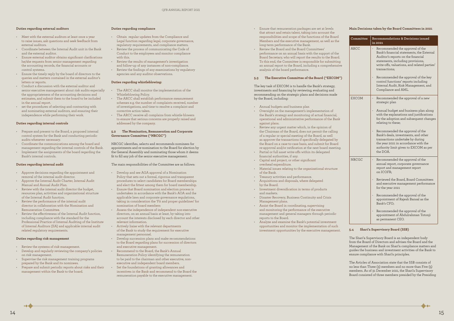#### **Duties regarding external auditors**

- Meet with the external auditors at least once a year to raise issues, ask questions and seek feedback from external auditors.
- Coordinate between the Internal Audit unit in the Bank and the external auditor.
- Ensure external auditor obtains significant clarifications he/she requests from senior management regarding the accounting records, the financial accounts or control systems.
- Ensure the timely reply by the board of directors to the queries and matters contained in the external auditor's letters or reports.
- Conduct a discussion with the external auditor and senior executive management about risk audits especially the appropriateness of the accounting decisions and estimates, and submit them to the board to be included in the annual report.
- set the procedures of selecting and contracting with and nominating external auditors, and ensuring their independence while performing their work.

#### **Duties regarding internal controls**

- Prepare and present to the Board, a proposed internal control system for the Bank and conducting periodic audits whenever necessary.
- Coordinate the communications among the board and management regarding the internal controls of the Bank.
- Implement the assignments of the board regarding the Bank's internal controls.

#### **Duties regarding internal audit**

- Approve decisions regarding the appointment and removal of the internal audit director.
- Approve the Internal Audit Charter, Internal Audit Manual and Annual Audit Plan.
- Review with the internal audit director the budget, resources plan, activities and organizational structure of the Internal Audit function.
- Review the performance of the internal audit director in collaboration with the Nomination and Remuneration Committee.
- Review the effectiveness of the Internal Audit function, including compliance with the standard for the Professional Practice of Internal Auditing of the Institute of Internal Auditors (IIA) and applicable internal audit related regulatory requirements.

#### **Duties regarding risk management**

- Review the systems of risk management.
- Develop and regularly reviewing the company's policies on risk management.
- Supervise the risk management training programs prepared by the Bank and its nominees.
- Prepare and submit periodic reports about risks and their management within the Bank to the board.

#### **Duties regarding compliance**

- Obtain regular updates from the Compliance and Legal function regarding legal, corporate governance, regulatory requirements, and compliance matters.
- Review the process of communicating the Code of Conduct to the employees and monitor compliance with this.
- Review the results of management's investigation and follow-up of any instances of non-compliance.
- Review the findings of any examinations by regulatory agencies and any auditor observations.

#### **Duties regarding whistleblowing:**

- The ARCC shall monitor the implementation of the Whistleblowing Policy.
- The ARCC shall establish performance measurement schemes e.g. the number of complaints received, number of investigations, and time to resolve a complaint and corrective action taken.
- The ARCC receive all complains from whistle-blowers to ensure that serious concerns are properly raised and addressed by the company.

#### **5.2 The Nomination, Remuneration and Corporate Governance Committee ("NRCGC")**

NRCGC identifies, selects and recommends nominees for appointments and re-nomination to the Board for election by the General Assembly and nominating those whom it deems fit to fill any job of the senior executive management.

#### The main responsibilities of the Committee are as follows:

- Develop and see AGA approval of a Nomination Policy that sets out a formal, rigorous and transparent procedures to select candidates for Board memberships and elect the fittest among them for board membership.
- Ensure that Board nomination and election process is undertaken in accordance with the Bank's AOA and the applicable laws and corporate governance regulations, taking in consideration the 'Fit and proper guidelines' for nomination of board members
- Assess the independence of independent non-executive directors, on an annual basis at least, by taking into account the interests disclosed by each director and other relevant information.
- Actively liaise with the relevant departments of the Bank to study the requirement for executive management personnel.
- Develop succession plans and make recommendations to the Board regarding plans for succession of directors and executive management.
- Recommend to the Board, the Bank's Annual Remuneration Policy identifying the remuneration to be paid to the chairman and other executive, nonexecutive and independent board members.
- Set the foundations of granting allowances and incentives in the Bank and recommend to the Board the remuneration payable to the executive management.
- Ensure that remuneration packages are set at levels that attract and retain talent, taking into account the responsibilities and scope of the functions of the Board Members and the executive management, as well as the long-term performance of the Bank.
- Review the Board and the Board Committees' performance on an annual basis with the support of the Board Secretary, who will report the results to the Board. To this end, the Committee is responsible for submitting an annual report to the Board, including a comprehensive analysis of the board performance.

#### **5.3 The Executive Committee of the Board ("EXCOM")**

The key task of EXCOM is to handle the Bank's strategy, investments and financing by reviewing, evaluating and recommending on the strategic plans and decisions made by the Board, including:

- Annual budgets and business plan
- Oversight on the management's implementation of the Bank's strategy and monitoring of actual financial, operational and administrative performance of the Bank against plans.
- Review any urgent matter which, in the opinion of the Chairman of the Board, does not permit the calling of a regular or special meeting of the Board, as well as approve the transactions if specifically delegated by the Board on a case-to-case basis, and submit for Board re-approval and/or ratification at the next board meeting.
- Partial or full asset write-offs within its delegated financial authorities, if any.
- Capital and project, or other significant overhead expenditure.
- Material issues relating to the organizational structure of the Bank.
- Treasury activities and performance.
- Acquisitions and disposals, where delegated by the Board.
- Investment diversification in terms of products and markets.
- Disaster Recovery, Business Continuity and Crisis Management plans.
- Assist the Board in coordinating, supervising and monitoring the performance of the executive management and general managers through periodic reports to the Board.
- Analyze and examine the Bank's potential investment opportunities and monitor the implementation of such investment opportunities by the executive management.

#### **Main Decisions taken by the Board Committees in 2021**

| Committee    | Recommendations & Decisions issued<br>in 2021                                                                                                                                                                                                                                                                                                                          |
|--------------|------------------------------------------------------------------------------------------------------------------------------------------------------------------------------------------------------------------------------------------------------------------------------------------------------------------------------------------------------------------------|
| ARCC         | Recommended the approval of the<br>Bank's financial statements, the External<br>Auditor's reports on the financial<br>statements, including provisions,<br>write-offs, valuations, and related parties'<br>transactions:<br>Recommended the approval of the key<br>control functions' reports including<br>Internal Audit, Risk Management, and<br>Compliance and AML. |
| <b>EXCOM</b> | Recommended the approval of a new<br>strategic plan<br>Annual budget and business plan along<br>with the explanations and justifications<br>for the adoption and subsequent changes<br>relating to these;                                                                                                                                                              |
|              | Recommended the approval of the<br>Bank's deals, investments, and other<br>transactions undertake by during<br>the year 2021 in accordance with the<br>authority limit given to EXCOM as per<br>the DOA.                                                                                                                                                               |
| <b>NRCGC</b> | Recommended the approval of the<br>annual report, corporate governance<br>report and management report<br>on ICOFR;                                                                                                                                                                                                                                                    |
|              | Reviewed the Board, Board Committees<br>and executive management performance<br>for the year 2021                                                                                                                                                                                                                                                                      |
|              | Recommended the approval of the<br>appointment of Rajesh Bansal as the<br>Bank's CFO;                                                                                                                                                                                                                                                                                  |
|              | Recommended the approval of the<br>appointment of Abdulrahman Totonji<br>as permanent CEO.                                                                                                                                                                                                                                                                             |

#### **5.4 Shari'a Supervisory Board (SSB)**

The Shari'a Supervisory Board is an independent body from the Board of Directors and advises the Board and the Management of the Bank on Shari'a compliance matters and guides the business and investment activities of the Bank to ensure compliance with Shari'a principles.

The Articles of Association state that the SSB consists of no less than Three (3) members and no more than Five (5) members. As of 31 December 2021, the Shari'a Supervisory Board consisted of three members presided by the Presiding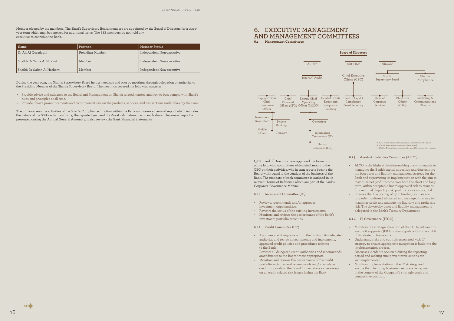Member elected by the members. The Shari'a Supervisory Board members are appointed by the Board of Directors for a threeyear term which may be renewed for additional terms. The SSB members do not hold any executive roles within the Bank.

| <b>Name</b>                 | Position         | <b>Member Status</b>      |
|-----------------------------|------------------|---------------------------|
| Dr Ali Al Quradaghi         | Presiding Member | Independent Non-executive |
| Shaikh Dr Yahia Al Nuaimi   | Member           | Independent Non-executive |
| Shaikh Dr Sultan Al Hashemi | Member           | Independent Non-executive |

During the year 2021, the Shari'a Supervisory Board held 2 meetings and over 10 meetings through delegation of authority to the Presiding Member of the Shari'a Supervisory Board. The meetings covered the following matters:

- Provide advice and guidance to the Board and Management on Shari'a related matters and how to best comply with Shari'a rules and principles at all time,
- Provide Shari'a pronouncements and recommendations on the products, services, and transactions undertaken by the Bank.

The SSB oversees the activities of the Shari'a Compliance function within the Bank and issues an annual report which includes the details of the SSB's activities during the reported year and the Zakat calculation due on each share. The annual report is presented during the Annual General Assembly. It also reviews the Bank Financial Statements.

## **6. EXECUTIVE MANAGEMENT AND MANAGEMENT COMMITTEES**

**6.1 Management Committees** 

relevant Terms of Reference which are part of the Bank's QFB Board of Directors have approved the formation of the following committees which shall report to the CEO on their activities, who in turn reports back to the Board with regard to the conduct of the business of the Bank. The mandate of each committee is outlined in its Corporate Governance Manual:

6.1.1 Investment Committee (IC)

- rit<br>authority, and reviews, recommends and implements, Banking approved credit policies and procedures relating um.<br>Information of the state • Approves credit requests within the limits of its delegated to the Bank.
- Reviews all delegated credit authorities and recommends amendments to the Board where appropriate.
- Monitors and reviews the performance of the credit portfolio activities and recommends and/or escalates credit proposals to the Board for decisions as necessary on all credit related risk issues facing the Bank



- maximize net profit income over both the short and long **Board of Directors** managing the Bank's capital allocation and determining • ALCO is the highest decision-making body in regards to the best asset and liability management strategy for the Bank and supervising its implementation with the aim to term, within acceptable Board approved risk tolerances for credit risk, liquidity risk, profit rate risk and capital.
- For event risk, inducing risk, profit rice risk did capital that the pricing of QFB funding sources are O cer (CEO) monics that the priemy or  $Q$ r D runding sources are<br>properly monitored, allocated and managed in a way to property monitored, anotated and managed in a way to<br>maximize profit and manage the liquidity and profit rate risk. The day-to-day asset and liability management is delegated to the Bank's Treasury Department.

#### 6.1.4 IT Governance (ITGC)

- Reviews, recommends and/or approves investment opportunities.
- Reviews the status of the existing investments.
- Monitors and reviews the performance of the Bank's  $\hspace{0.1mm}$ investment portfolio activities. and Corporate

6.1.2 Credit Committee (CC)

1 ARCC: Audit, Risk and Compliance Committee of the Board 2 EXCOM: Executive Committee of the Board 3NRCGC: Nomination, Remuneration and Corporate Governance

#### 6.1.3 Assets & Liabilities Committee (ALCO)

- Monitors the strategic direction of the IT Department to ensure it supports QFB long-term goals within the ambit of its strategic framework.
- Understand risks and controls associated with IT strategy to ensure appropriate mitigation is built into the implementation process.
- Discusses incidents occurred during the reporting period and making sure preventative actions are well implemented.
- Monitors implementation of the IT strategy and ensure that changing business needs are being met in the context of the Company's strategic goals and competitive position.

 $\blacklozenge$ 

 $\leftrightarrow$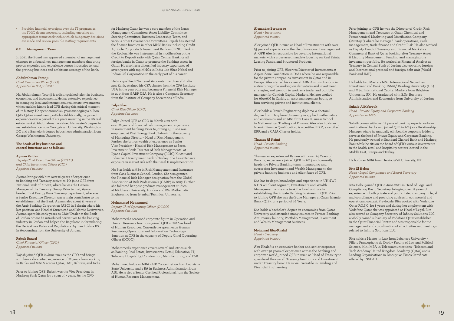#### **Alexandre Bernassau**

*Head – Investment Appointed in 2020*

Alex joined QFB in 2020 as Head of Investments with over 15 years of experience in the file of investment management. At QFB Alex is responsible for covering International markets with a cross-asset mandate focusing on Real Estate, Leasing Funds, and Structured Products.

Prior to joining QFB, Alex was Director of Investments at Aspire Zone Foundation in Doha where he was responsible for the private companies' investment in Qatar and in Europe. Alex started his career at ABN Amro in London in a structuring role working on derivatives and investment strategies, and went on to work as a trader and portfolio manager for Conduit Capital Markets. He later worked for AlgoAM in Zurich, an asset management boutique firm servicing private and institutional clients.

Alex holds a French Engineering diploma, a doctoral degree from Dauphine University in applied mathematics and economics and an MSc from Cass Business School in Mathematical Trading and Finance. Alex also holds an Islamic Finance Qualification, is a certified FRM, a certified ERP, and a CAIA Charter holder.

#### **Thanwa Al Naimi**

*Head - Private Banking Appointed in 2020*

Thanwa an experienced Banker with over 24 Years of Banking experience joined QFB in 2014 and currently heads the Private Banking team in managing and overseeing Investment and Wealth Management, the private banking business and client base of QFB.

She has in-depth knowledge and experience in UHNWI & HNWI client segment, Investments and Wealth Management while she took the forefront role in establishing the Private Banking business in QFB. Prior to joining QFB she was the Zone Manager at Qatar Islamic Bank (QIB) for a period of 16 Years.

She holds a bachelor's degree in economics from Qatar University and attended many courses in Private Banking, Anti money laundry, Portfolio Management, Investment and Wealth Management business.

#### **Mohamad Abu-Khalaf**

*Head – Treasury Appointed in 2020*

Abu Khalaf is an executive banker and senior corporate with over 30 years of experience across the banking and corporate world, joined QFB in 2020 as Head of Treasury to spearhead the overall Treasury functions and Investment under Treasury book. He is well versatile in Funding and Financial Engineering.

• Provides financial oversight over the IT program as the ITGC deems necessary, including ensuring an appropriate framework within which budgetary decisions are made and review possible staffing requirements.

Prior joining to QFB he was the Director of Credit Risk Management and Treasurer at Qatar Chemical and Petrochemical Marketing and Distribution Company (Muntajat) where he managed Bank operations, Cash management, trade finance and Credit Risk. He also worked as Deputy Head of Treasury and Financial Markets at Commercial Bank of Qatar looking after Treasury Asset & Liability Management, Funding and managing the investment portfolio. He worked as Financial Analyst at Treasury in Central Bank of Jordan also covering foreign and International protocol and foreign debt unit (World Bank and IMF).

He holds two Masters MSc. International Securities, Investment and Banking. ISMA/ Reading University (UK) and MSc. International Capital Markets from Brighton University, UK. He graduated with B.Sc. Business Administration and Economics from University of Jordan.

#### **Suhaib AlMabrouk**

*Head - Private Equity and Corporate Banking Appointed in 2020*

Suhaib comes with over 17 years of banking experience from multinational banks and joined QFB in 2014 as a Relationship Manager where he gradually climbed the corporate ladder to serve as the head of Private Equity and Corporate Banking. He previously worked at Standard Charted Bank and Mashreq Bank while he sits on the board of QFB's various investments in the health, retail and hospitality sectors located in the Middle East, Europe and Turkey.

He holds an MBA from Herriot-Watt University, UK

#### **Rita El Helou**

*Head - Legal, Compliance and Board Secretary Appointed in 2021*

Rita Helou joined QFB in June 2021 as Head of Legal and Compliance, Board Secretary, bringing over 11 years of experience in both private and public listed company in legal and compliance and providing advises in commercial and operational context. Previously, Rita worked with Vodafone Qatar P.Q.S.C. for 8 years and during her employment with Vodafone Qatar she was appointed as Head of Legal. Rita also served as Company Secretary of Infinity Solutions LLC, a wholly owned subsidiary of Vodafone Qatar established in the Qatar Financial Centre and was responsible for the management and co-ordination of all activities and meetings related to Infinity Solutions LLC.

Rita holds a Master in Law from Lebanese University – Filiere Francophone de Droit – Faculty of Law and Political Science, Mini-MBA in Telecommunications - Telecom and Tech Academy United Kingdom Academy (Qatar) and a Leading Organisations in Disruptive Times Certificate offered by INSEAD.

**A.A.** 

#### **6.2 Management Team**

In 2021, the Board has approved a number of management changes to onboard new management members that bring proven expertise and experience across industries to lead the growing business and ambitious strategy of the Bank.

#### **Abdulrahman Totonji**

*Chief Executive Officer (CEO) Appointed in 12 April 2021*

Mr. Abdulrahman Totonji is a distinguished talent in business, economics, and investments. He has extensive experience in managing local and international real estate investments, which enables him to lead QFB during this critical moment of its history. He spent around six years managing a billion-QAR Qatari investment portfolio. Additionally, he gained experience over a period of six years investing in the US real estate market. Abdulrahman obtained his master's degree in real estate finance from Georgetown University, Washington DC and a Bachelor's degree in business administration from George Washington University.

**The heads of key business and control functions are as follows:**

#### **Ayman Zaidan**

*Deputy Chief Executive Officer (DCEO) and Chief Investment Officer (CIO) Appointed in 2020*

Ayman brings with him over 26 years of experience in Banking and Treasury activities. He joins QFB from National Bank of Kuwait, where he was the General Manager of the Treasury Group. Prior to that, Ayman headed First Energy Bank Treasury department, where as a Senior Executive Director, was a main contributor to the establishment of the Bank. Ayman also spent 11 years at the Arab Banking Corporation (ABC) in Bahrain where his last position was Head of Structured and Islamic Derivatives. Ayman spent his early years as Chief Dealer at the Bank of Jordan, where he introduced derivatives to the banking industry in Jordan and helped the Regulator in formulating the Derivatives Rules and Regulations. Ayman holds a BSc. in Accounting from the University of Jordan.

#### **Rajesh Bansal**

*Chief Financial Officer (CFO) Appointed in 2021*

Rajesh joined QFB in June 2021 as the CFO and brings with him a diversified experience of 22 years from working in Banks and MNCs across Qatar, UAE, Bahrain, and India.

Prior to joining QFB, Rajesh was the Vice President in Mashreq Bank Qatar for a span of 7 years. As the CFO

for Mashreq Qatar, he was a core member of the firm's Management Committee, Asset Liability Committee, Steering Committee, Business Leadership Team, and various other Governance Committees. Rajesh has steered the finance function in other MNC Banks including Credit Agricole Corporate & Investment Bank and ICICI Bank in the Region. He was instrumental in modification of the Credit to Deposit ratio with Qatar Central Bank for all foreign banks in Qatar to promote the Banking assets in Qatar. He also has a diversified industry experience of seven years with top MNCs in India like Akzo Nobel and Indian Oil Corporation in the early part of his career.

He is a qualified Chartered Accountant with an all-India 31st Rank, attained his CFA charter from the CFA Institute USA in the year 2013 and became a Financial Risk Manager in 2015 from GARP USA. He is also a Company Secretary from the Institute of Company Secretaries of India.

#### **Fulya Plas**

*Chief Risk Officer (CRO) Appointed in 2021*

Fulya Joined QFB as CRO in March 2021 with over 22 years of financial risk management experience in investment banking. Prior to joining QFB she was employed at First Energy Bank, Bahrain in the capacity of Managing Director - Head of Risk Management. Further she brings wealth of experience as Senior Vice President - Head of Risk Management at Seera Investment Bank, Director of Risk Managemental at Ryada Capital Investment Company (RCIC) Kuwait and Industrial Development Bank of Turkey. She has extensive exposure in market risk with the Basel II implementation.

Ms Plas holds a MSc in Risk Management and Insurance from Cass Business School, London. She was granted the Financial Risk Manager designation from the Global Association of Risk Professionals (GARP) in 2003. Further she followed her post graduate management studies at Middlesex University, London and BSc Mathematic Engineering from Istanbul Technical University.

#### **Mohammed Mohammed**

*Deputy Chief Operating Officer (DCOO) Appointed in 2021*

Mohammed a seasoned corporate figure in Operation and Human Resource functions joined QFB in 2020 as head of Human Resources. Currently he spearheads Human Resources, Operations and Information Technology function at QFB in the capacity of Deputy Chief Operating Officer (DCOO).

Mohammed's experience covers several industries such as Banking, Real Estate, Investments, Retail, Education, IT, Telecom, Hospitality, Construction, Manufacturing, and F&B.

Mohammed holds an MBA – HR Concentration from Louisiana State University and a BA in Business Administration from AIU. He is also a Senior Certified Professional from the Society of Human Resource Management.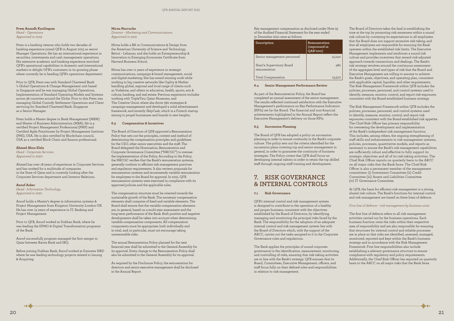**Prem Anandh Kasilingam** *Head – Operations Appointed in 2019*

Prem is a banking veteran who holds two decades of banking experience joined QFB in August 2015 as senior Manager Operations. He has an international experience in securities, investments and cash management operations. His extensive academic and banking experience enriched QFB's operational capabilities in domestic and international markets to delight OFB's customers in its growing phase where currently he is heading QFB's operations department.

Prior to QFB, Prem was with Standard Chartered Bank 's Global Operations & Change Management unit based in Singapore and he was managing Global Operations, Implementation of Standard Operating Models and Systems across 36 countries around the Globe. Prior to this Prem was managing Global Custody Settlement Operations and Client servicing for Standard Chartered Bank, Singapore as a Senior Manager.

Prem holds a Master degree in Bank Management (MBM) and Master of Business Administration (MBA). He is a certified Project Management Professional (PMP) and Certified Agile Practitioner by Project Management Institute (PMI), USA. He is also certified by Blockchain council, USA as a certified Block Chain and finance professional.

#### **Ahmed Abou Elela**

*Head - Corporate Services Appointed in 2020*

Ahmed has over 18 years of experience in Corporate Services and has worked for a multitude of companies in the State of Qatar and is currently looking after the Corporate Services department and Investor Relations.

#### **Anoof Asker**

*Head - Information Technology Appointed in 2021*

Anoof holds a Master's degree in information systems & Project Management from Kingston University-London-UK. He has over 15 years of experience in IT, Banking and Project Management.

Prior to QFB, Anoof worked at Dukhan Bank, where he was leading the EPMO & Digital Transformation programs of the Bank.

Anoof successfully program managed the first merger in Qatar between Barwa Bank and IBQ.

Before joining Dukhan Bank, Anoof worked at Emirates NBD where he was leading technology projects related to Issuing & Acquiring.

#### **Mirna Naccache**

*Director – Marketing and Communications Appointed in 2021*

Mirna holds a BA in Communications & Design from the American University of Science and Technology, Beirut – Lebanon, and she holds an Entrepreneurship & Innovation in Emerging Economies Certificate from Harvard Business School.

Mirna has over 11 years of experience in strategic communications, campaign & brand management, social and digital marketing. She has award winning work while working in big creative networks like Ogilvy & Mather handling global, regional and local range of clients such as Vodafone, and others in education, health, sports, arts & culture, banking, and real estate. Previous experience includes working with TripleTwo, Qatar Museums, and The Creative Union where she drove 360 strategies & campaign management and developed a solid advertisement framework, and recently SkipCash, which is a Fintech startup aiming to propel businesses and brands to new heights.

#### **6.3 Compensation & Incentives**

The Board of Directors of QFB approved a Remuneration Policy that sets out the principles, content and method of determining the compensation principles and guidelines for the CEO, other senior executives and the staff. The Board delegated the Nomination, Remuneration and Corporate Governance Committee ("NRCGC") to oversee the implementation of the Policy. According to the Policy, the NRCGC verifies that the Bank's remuneration systems, generally conform to efficient risk management practices and regulatory requirements. It also reviews proposals for remuneration systems and recommends variable remuneration for employees to the Board for approval. In 2021, QFB remuneration systems were exercised in compliance with its approved policies and the applicable rules.

The compensation structure must be oriented towards the sustainable growth of the Bank. The monetary compensation elements shall comprise of fixed and variable elements. The Board shall ensure that the variable compensation elements are, in general, based on a multi-year assessment and the long-term performance of the Bank. Both positive and negative developments shall be taken into account when determining variable compensation components. All compensation components must be appropriate, both individually and in total, and, in particular, must not encourage taking unreasonable risks.

The annual Remuneration Policy planned for the next financial year shall be submitted to the General Assembly for its approval. Every change to the Remuneration Policy shall also be submitted to the General Assembly for its approval.

As required by the Disclosure Policy, the remuneration for directors and senior executive management shall be disclosed in the Annual Report.

Key management compensation as disclosed under Note 25 of the Audited Financial Statement for the year ended 31 December 2021 were as follows:

| Description                               | Remuneration<br>(expressed in<br>QAR'000) |
|-------------------------------------------|-------------------------------------------|
| Senior management personnel               | 15,040                                    |
| Shari'a Supervisory Board<br>remuneration |                                           |
| Total Compensation                        |                                           |

#### **6.4 Senior Management Performance Review**

As part of the Remuneration Policy, the Board has completed an annual assessment of the senior management. The results reflected continued satisfaction with the Executive Management's performance on Key Performance Indicators (KPIs) set by the Board. The financial and non-financial achievements highlighted in the Annual Report reflect the Executive Management's delivery on those KPIs.

#### **6.5 Succession Planning**

The Board of QFB has adopted a policy on succession planning in order to ensure continuity in the Bank's corporate culture. The policy sets out the criteria identified for the succession plans covering top and senior management in general, in order to guarantee the continuity of business strategies. The Policy covers that QFB shall focus on developing internal talents in order to retain the top skilled staff through ongoing staff training and development.

## **7. RISK GOVERNANCE & INTERNAL CONTROLS**

#### **7.1 Risk Governance**

QFB's internal control and risk management system is designed to contribute to the operation of a healthy and proper business, consistent with the objectives established by the Board of Directors, by identifying, managing and monitoring the principal risks faced by the Bank. The responsibility for the adoption of an adequate internal control and risk management system lies with the Board of Directors which, with the support of the ARCC, carries out the tasks assigned to it in the Corporate Governance rules and regulations.

The Bank applies the principles of sound corporate governance to the identification, measurement, monitoring, and controlling of risks, ensuring that risk-taking activities are in line with the Bank's strategy. QFB ensures that its Board, Committees, Executive Management, officers, and staff focus fully on their defined roles and responsibilities in relation to risk management.

 $20$ 

 $\sim$  4

The Board of Directors takes the lead in establishing the tone at the top by promoting risk awareness within a sound risk culture by conveying its expectations to all employees that the Board does not support excessive risk taking, and that all employees are responsible for ensuring the Bank operates within the established risk limits. The Executive Management implements and reinforces a sound risk culture and provides incentives that reward risk-adjusted approach towards transactions and dealings. The Bank's risk strategy revolves around the continuous assessment of the aggregate level and types of risk that the Board and Executive Management are willing to assume to achieve the Bank's goals, objectives, and operating plan, consistent with applicable capital, liquidity, and other requirements. The Risk Management Framework within QFB includes the policies, processes, personnel, and control systems used to identify, measure, monitor, control, and report risk exposures consistent with the Board-established business strategy.

The Risk Management Framework within QFB includes the policies, processes, personnel, and control systems used to identify, measure, monitor, control, and report risk exposures consistent with the Board-established risk appetite. The Chief Risk Officer has primary responsibility for overseeing the development and implementation of the Bank's independent risk management function. This includes, among others, the ongoing strengthening of staff skills and enhancements to risk management systems, policies, processes, quantitative models, and reports as necessary to ensure the Bank's risk management capabilities are sufficiently robust and effective to fully support its strategic objectives and all of its risk-taking activities. The Chief Risk Officer reports on quarterly basis to the ARCC on all major risks that the Bank faces. The Chief Risk Officer is also a permanent member of the management committees: (i) Investment Committee (ii) Credit Committee (iii) Assets and Liabilities Committee (iv) IT Governance Committee.

At QFB, the basis for efficient risk management is a strong, shared risk culture. The Bank's functions for internal control and risk management are based on three lines of defence:

#### *First line of defence – risk management by business units*

The first line of defence refers to all risk management activities carried out by the business operations. Each business function owns the risks within their respective area of responsibility and are also responsible for ensuring that structures for internal control and reliable processes are in place so that risks are identified, assessed, managed, monitored, reported and kept within the Bank's business strategy and in accordance with the Risk Management Framework. First line responsibilities also include establishing a relevant governance structure to ensure compliance with regulatory and policy requirements. Additionally, the Chief Risk Officer has reported on quarterly basis to the ARCC on all major risks that the Bank faces.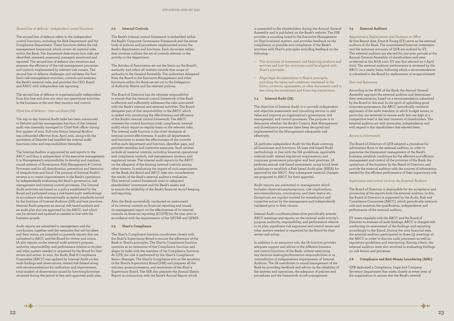#### *Second line of defence – independent control functions*

The second line of defence refers to the independent control functions, including the Risk Department and the Compliance Department. These functions define the risk management framework, which covers all material risks within the Bank. The framework determines how risks are identified, assessed, measured, managed, monitored and reported. The second line of defence also monitors and assesses the efficiency of the risk management processes and controls implemented by relevant risk owners. The second line of defence challenges and validates the first line's risk management activities, controls and analyses the Bank's material risks, and provides the CEO, Board and ARCC with independent risk reporting.

The second line of defence is organizationally independent from first line and does not carry out operational activities in the business or the unit they monitor and control.

#### *Third line of defence – Internal Audit (IA)*

The day-to-day Internal Audit tasks has been outsourced to Deloitte and the management function of the internal audit was internally managed by Chief Risk officer during first quarter of 2021. Full time Senior Internal Auditor was onboarded effective from April 2021, along with the assistance of Deloitte had handled the internal audit functions roles and responsibilities thereafter.

The Internal Auditor is appointed by and reports to the ARCC and thus is independent of the executive management. It is Management's responsibility to develop and maintain sound systems of Governance, Risk Management & Control Processes and for all identification, prevention and detection of irregularities and fraud. The purpose of Internal Audit's reviews is to create improvements in the Bank's operations by independently evaluating the Bank's governance, risk management and internal control processes. The Internal Audit activities are based on a policy established by the Board and performed using a risk-based audit methodology in accordance with internationally accepted standards issued by the Institute of Internal Auditors (IIA) and best practices. Internal Audit prepares an annual risk-based analysis and an audit plan that are approved by the ARCC, and which can be revised and updated as needed in line with the business growth.

Audit reports are submitted to management and the conclusions, together with the measures that will be taken and their status, are compiled in quarterly reports that are submitted to ARCC and the Board for review and action. IA also reports on the internal audit activity's purpose, authority, responsibility, and performance relative to its plan and other matters needed or requested by the Board for their review and action. In 2021, the Audit, Risk & Compliance Committee (ARCC) was updated by Internal Audit on key audit findings and observations, related risk thereof along with recommendations for ratification and improvement, total number of observations raised for functions/activities reviewed during the period in line with approved audit plan.

#### **7.2 Internal Controls**

The Bank's internal control framework is embedded within the Bank's Corporate Governance Framework and the entire body of policies and procedures implemented across the Bank's departments and functions. Each document within that universe outlines the set of controls relevant to the activity or the department.

The Articles of Association set out the limits on the Board's authority and refers all matters outside that scope of authority to the General Assembly. The authorities delegated from the Board to the Executive Management and other functions within the Bank are set out in the Delegation of Authority Matrix and the relevant policies.

The Board of Directors has the ultimate responsibility to ensure that the internal control framework of the Bank is effective and sufficiently addresses the risks associated with the Bank's internal and external activities. The Board delegates part of that responsibility to the ARCC which is tasked with monitoring the effectiveness and efficiency of the Bank's internal control framework. The ARCC oversees the control functions (risk, compliance, internal audit) which report on regular basis on the relevant risks. The internal audit function is the chief champion of internal control effectiveness. It audits all departments and functions to assess the effectiveness of the controls within each department and function, identifies gaps, and provides remedies and corrective measures. Such reviews include all material controls, including financial, operational and compliance controls, risk management systems, and regulatory issues. The internal audit reports to the ARCC on the adequacy of the existing internal controls among other matters. In evaluating the impact of such assessments on the Bank, the Board and ARCC take into consideration the results of the Bank's external auditor's evaluation. This internal control framework aims to safeguard shareholders' investment and the Bank's assets and to ensure the reliability of the Bank's financial record keeping and reporting.

The Board of Directors is responsible for the acceptance and processing of the reports from the external auditors. In this, the Board of Directors is supported by the Audit, Risk and Compliance Committee (ARCC), which periodically interacts with and monitors the qualification, independence and performance of the external auditors.

Also, the Bank successfully conducted an assessment of its internal controls on financial reporting and issued its management report on the effectiveness of its internal controls on financial reporting (ICOFR) for the year 2021 in accordance with the requirements of the QFCRA and QFMA.

#### **7.3 Shari'a Compliance**

The Shari'a Compliance function coordinates closely with the Shari'a Supervisory Board to ensure the adherence of the Bank to Shari'a principles. The Shari'a Compliance function operates as an extension of the Compliance function and aligns its tasks with the mandate of the Compliance function. At QFB, the role is performed by the Shari'a Compliance Senior Manager. The Shari'a Compliance acts as the secretary of the Shari'a Supervisory Board (SSB) and prepares all the minutes, pronouncements, and resolutions of the Shari'a Supervisory Board. The SSB also prepares the Annual Shari'a Report in conjunction with the Bank's Annual Report which

is presented to the shareholders during the Annual General Assembly and is published on the Bank's website. The SSB provides a sounding board to the Executive Management on Shari'a-related matters, and provides feedback on the compliance, or possible non-compliance of the Bank's activities with Shari'a principles including feedback on the following:

- The structures of investment and financing products and services and how the structures could be aligned with Shari'a principles.
- Align legal documentation to Shari'a principles, including the terms and conditions contained in the forms, contracts, agreements, or other documents used in executing the investment and financing transactions

#### **7.4 Internal Audit (IA)**

The objective of Internal Audit is to provide independent and objective assessment and consulting service to add value and improve an organization's governance, risk management, and control processes. The purpose is to determine whether the Bank's Control, Risk Management and Governance processes have been designed and implemented by the Management adequately and effectively.

IA performs independent Audit for the Bank covering all businesses and functions. IA uses risk-based Audit methodology in line with the IIA guidelines, applicable internal audit related regulatory requirements and corporate governance principles and best practices. IA performs annual risk-based assessment using broad level guidelines to establish a Risk based Audit plan (RBIA) for approval by the ARCC. Any subsequent material changes are proposed to ARCC for their approval.

Audit reports are submitted to management which includes observations/exceptions, risk implications, recommendations, conclusions, and their status etc. Exceptions are regular tracked for remediation and corrective action by the management and independently validated prior to their closure.

Internal Audit coordinator/executive periodically attends ARCC meetings and reports on the internal audit activity's purpose, authority, responsibility, and performance relative to its plan, significant risk exposures and control issues and other matters needed or requested by the Board for their review and action.

In addition to its assurance role, the IA function provides adequate support and advice to the different business and control functions of the Bank, without exercising any decision-making/authorization responsibilities or in contradiction of independence requirements of Internal Auditors. The IA contributes to sound management of the Bank by providing feedback and advice on the reliability of the systems and operations, the adequacy of policies and procedures and the framework of risk management.

 $22$ 

 $\overline{1}$ 

#### **7.5 External Auditors**

*Appointment, Replacement and Duration in Office*  At this Report date, Ernst & Young (EY) serve as the external auditors of the Bank. The consolidated financial statements and the statutory accounts of QFB are audited by EY. The external auditors are elected for one-year periods at the Annual General Assembly of shareholders and were re-elected at the AGA 2021. EY was first elected on 7 April 2020. The external auditors' performance is reviewed by the ARCC on a yearly basis, following which a recommendation is submitted to the Board for replacement or re-appointment.

#### *Fees and Autonomy*

According to the AOA of the Bank, the Annual General Assembly appoints the external auditors and determines their remuneration, based on a recommendation submitted by the Board to this end. In the spirit of upholding good corporate governance, the ARCC periodically conducts appraisals of the audit mandate, in which budget issues, in particular, are reviewed to ensure audit fees are kept at a competitive level in the best interests of shareholders. The external auditors act with autonomy, independence, and with regard to the shareholders that elected them.

#### *Access to Information*

The Board of Directors of QFB adopted a procedure for information flows to the external auditors, in order to guarantee the transparent management of the Bank's business, establish conditions for the effective and efficient management and control of the activities of the Bank, the operations of the business by the Board of Directors, and provide the external auditors with the sources of information needed for the efficient performance of their supervisory role

#### *Supervision and control vis-à-vis the External Auditors*

EY meets regularly with the ARCC and the Board of Directors to evaluate all audit findings. ARCC is charged with conducting its assessment of the findings and reporting accordingly to the Board. During the 2021 financial year, the external auditors participated in three (3) meetings of the ARCC in order to discuss audit processes as well as regulatory guidelines and monitoring. Among others, the external auditors were also involved in evaluating findings on risk factors and processes.

#### **7.6 Compliance and Anti-Money Laundering (AML)**

QFB dedicated a Compliance, Legal and Company Secretary Department that works closely at every level of the organization to ensure that the Bank's internal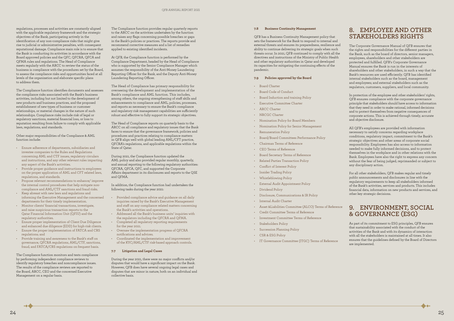regulations, processes and activities are constantly aligned with the applicable regulatory framework and the strategic objectives of the Bank, participating actively in the identification of any non-compliance risks that might give rise to judicial or administrative penalties, with consequent reputational damage. Compliance main role is to ensure that the Bank is conducting its activities in accordance with the Board approved policies and the QFC, QFCRA, QFCA and QFMA rules and regulations. The Head of Compliance meets regularly with the ARCC to review the status of the business is compliance with the procedures set by the Board, to assess the compliance risks and opportunities faced at all levels of the organization and elaborate specific plans to address them.

The Compliance function identifies documents and assesses the compliance risks associated with the Bank's business activities, including but not limited to the development of new products and business practices, and the proposed establishment of new types of business or customer relationships, or material changes in the nature of such relationships. Compliance risks include risk of legal or regulatory sanctions, material financial loss, or loss to reputation resulting from failure to comply with applicable laws, regulations, and standards.

Other major responsibilities of the Compliance & AML function include:

- Ensure adherence of departments, subsidiaries and investee companies to the Rules and Regulations concerning AML and CTF issues, regulatory circulars and instructions, and any other relevant rules impacting any aspect of the Bank's activities.
- Provide proper guidance and instructions to employees on the proper application of AML and CFT related laws, regulations, and standards.
- Propose relevant recommendations to enhance/ improve the internal control procedures that help mitigate noncompliance and AML/CTF sanctions and fraud risks.
- Keep abreast with new laws and regulations and informing the Executive Management and the concerned departments for their timely implementation.
- Monitor clients' financial transactions, investigate, and raise suspicious transaction reports to the Qatar Financial Information Unit (QFIU) and the regulatory authorities.
- Ensure proper implementation of Client Due Diligence and enhanced due diligence (EDD) for high-risk clients.
- Ensure the proper implementation of FATCA and CRS regulations; and
- Provide training and awareness to the Bank's staff on governance, QFCRA regulations, AML/CTF, sanctions, fraud, and FATCA/CRS regulations on frequent basis.

The Compliance function monitors and tests compliance by performing independent compliance reviews to identify regulatory breaches and noncompliance issues. The results of the compliance reviews are reported to the Board, ARCC, CEO and the concerned Executive Management on a regular basis.

The Compliance function provides regular quarterly reports to the ARCC on the activities undertaken by the function and raises any flags concerning possible breaches or gaps in the Bank's policies or practices. The reports provide and recommend corrective measures and a list of remedies applied to existing identified incidents.

At QFB, the Compliance function is performed by the Compliance Department, headed by the Head of Compliance who is supported by the Senior Compliance Manager which assumes the responsibility of the Anti-Money Laundering Reporting Officer for the Bank, and the Deputy Anti-Money Laundering Reporting Officer.

The Head of Compliance has primary responsibility for overseeing the development and implementation of the Bank's compliance and AML function. This includes, among others, the ongoing strengthening of staff skills and enhancements to compliance and AML, policies, processes, and reports as necessary to ensure the Bank's compliance and regulatory risk management capabilities are sufficiently robust and effective to fully support its strategic objectives.

The Head of Compliance reports on quarterly basis to the ARCC on all compliance and regulatory issues that the Bank faces to ensure that the governance framework, policies and procedures and practices relating to compliance matters in QFB align well with global leading AML/CFT practice, QFCRA's regulations, and applicable regulations within the State of Qatar.

During 2021, the Compliance function updated the AML policy and also provided regular monthly, quarterly, and annual reporting to the following regulatory authorities: QFCRA, QFCA, QFC, and supported the Corporate Affairs department in its disclosures and reports to the QSE and QFMA.

In addition, the Compliance function had undertaken the following tasks during the year 2021:

- Provided compliance advice and guidance on all daily inquiries raised by the Bank's Executive Management and staff on any compliance related matters concerning the Bank's activities and operations.
- Addressed all the Bank's business units' inquiries with the regulators including the QFCRA and QFMA.
- Completed all regulatory reporting requirements for the year 2021.
- Oversaw the implementation progress of QFCRA notifications and advices.
- Coordinated the implementation and improvement of the KYC/AML/CTF risk-based approach controls.

#### **7.7 Litigation and Legal Cases**

During the year 2021, there were no major conflicts and/or disputes that would have a significant impact on the Bank. However, QFB does have several ongoing legal cases and disputes that are minor in nature, both on an individual and collective basis.

#### **7.8 Business Continuity Management**

QFB has a Business Continuity Management policy that sets the framework for the Bank to respond to internal and external threats and ensures its preparedness, resilience and ability to continue delivering its strategic goals when such threats occur. In 2021, QFB continued to comply with all the directives and instructions of the Ministry of Public Health and other regulatory authorities in Qatar and developed its capacities for mitigating the continuing effects of the pandemic.

#### **7.9 Policies approved by the Board**

- Board Charter
- Board Code of Conduct
- Board Induction and training Policy
- Executive Committee Charter
- ARCC Charter
- NRCGC Charter
- Nomination Policy for Board Members
- Nomination Policy for Senior Management
- Remuneration Policy
- Board/Board Committees Performance Policy
- Chairman Terms of Reference
- CEO Terms of Reference
- Board Secretary Terms of Reference
- Related Parties Transaction Policy
- Conflict of Interest Policy
- Insider Trading Policy
- Whistleblowing Policy
- External Audit Appointment Policy
- Dividend Policy
- Disclosure, Communications & IR Policy
- Internal Audit Charter
- Asset &Liabilities Committee (ALCO) Terms of Reference
- Credit Committee Terms of Reference
- Investment Committee Terms of Reference
- Stakeholders Policy
- Succession Planning Policy
- CSR & ESG Policy
- IT Governance Committee (ITGC) Terms of Reference

## **8. EMPLOYEE AND OTHER STAKEHOLDERS RIGHTS**

The Corporate Governance Manual of QFB ensures that the rights and responsibilities for the different parties in the Bank, such as the board of directors, senior managers, employees, shareholders and other stakeholders are protected and fulfilled. QFB's Corporate Governance Manual ensures the Bank is run in the interests of shareholders and other stakeholders, in such a way that the Bank's resources are used efficiently. QFB has identified internal stakeholders such as the board, management and employees; and external stakeholders such as the regulators, customers, suppliers, and local community.

In protection of the employee and other stakeholders' rights, QFB ensures compliance with the corporate governance principle that stakeholders should have access to information that they need in order to make rational, informed decisions and to protect themselves from negative consequences of corporate actions. This is achieved through timely, accurate and objective disclosure.

All QFB's employees are provided with information necessary to satisfy concerns regarding workplace conditions, regulatory impact, commitment to the Bank's strategic objectives and other areas of corporate social responsibility. Employees has also access to information needed to make fully informed decisions, and to protect themselves in the workplace and in other relations with the Bank. Employees have also the right to express any concern without the fear of being judged, reprimanded or subject to any disciplinary action.

For all other stakeholders, QFB makes regular and timely public announcements and disclosures in line with the regulatory requirements to keep all stakeholders informed of the Bank's activities, services and products. This includes financial data, information on new products and services, and other key strategic decisions.

## **9. ENVIRONMENT, SOCIAL & GOVERNANCE (ESG)**

As part of its commitment to ESG principles, QFB ensures that sustainability associated with the conduct of the activities of the Bank and with its dynamics of interaction with all the stakeholders is maintained at all times. It also ensures that the guidelines defined by the Board of Directors are implemented.

25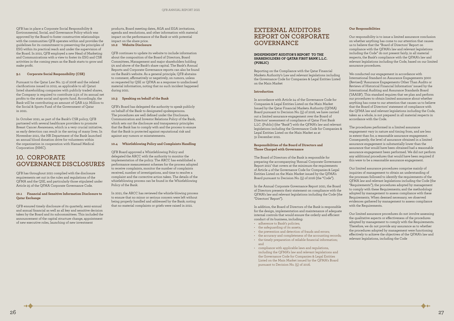QFB has in place a Corporate Social Responsibility & Environmental, Social, and Governance Policy which was approved by the Board to foster constructive relationships with the communities OFB operates within and provides the guidelines for its commitment to preserving the principles of ESG within its practical reach and under the supervision of the Board. In 2021, QFB employed a new Head of Marketing and Communications with a view to foster its ESG and CSR activities in the coming years as the Bank starts to grow and make profit.

#### **9.1 Corporate Social Responsibility (CSR)**

Pursuant to the Qatar Law No. 13 of 2008 and the related clarifications issued in 2012, as applicable to all Qatari listed shareholding companies with publicly traded shares, the Company is required to contribute 2.5% of its annual net profits to the state social and sports fund. Accordingly, the Bank will be contributing an amount of QAR 2.51 Million to the Social & Sports Fund of the Government of Qatar in 2021.

In October 2021, as part of the Bank's CSR policy, QFB partnered with several healthcare providers to promote Breast Cancer Awareness, which is a very crucial initiative, as early detection can result in the saving of many lives. In November 2021, the HR Department of the Bank launched an annual blood donation drive for volunteers within the organization in cooperation with Hamad Medical Corporation (HMC).

## **10. CORPORATE GOVERNANCE DISCLOSURES**

QFB has throughout 2021 complied with the disclosure requirements set out in the rules and regulations of the QFMA and the QSE, and particularly those stipulated under Article 25 of the QFMA Corporate Governance Code.

#### **10.1 Financial and Sensitive Information Disclosure to Qatar Exchange**

QFB ensured timely disclosure of its quarterly, semi-annual and annual financial as well as all key and sensitive decision taken by the Board and its subcommittees. This included the announcement of the capital structure change, appointment of new executive roles, launching of new investment

products, Board meeting dates, AGA and EGA invitations, agenda and resolutions, and other information with material impact on the performance of the Bank or with potential impact on the share price. **10.2 Website Disclosure** 

QFB continues to update its website to include information about the composition of the Board of Directors, Board Committees, Management and major shareholders holding 5% and above of the Bank's share capital. The Bank's Annual Reports and Corporate Governance reports can also be found on the Bank's website. As a general principle, QFB abstains to comment, affirmatively or negatively, on rumors, unless so requested by QSE or QFMA as a response to undisclosed material information, noting that no such incident happened during 2021.

#### **10.3 Speaking on behalf of the Bank**

QFB's Board has delegated the authority to speak publicly on behalf of the Bank to designated spokespersons. The procedures are well defined under the Disclosure, Communication and Investor Relations Policy of the Bank, which sets out the disclosure and transparency principles that the Bank has to comply with and the process to ensure that the Bank is protected against reputational risk and against any rumors or misstatements.

- adherence to Bank's policies;
- the safeguarding of its assets;
- the prevention and detection of frauds and errors;
- the accuracy and completeness of the accounting records;
- the timely preparation of reliable financial information; and
- compliance with applicable laws and regulations, including the QFMA's law and relevant legislations and the Governance Code for Companies & Legal Entities Listed on the Main Market issued by the QFMA's Board pursuant to Decision No. (5) of 2016.

 $\overline{1}$ 

#### **10.4 Whistleblowing Policy and Complaints Handling**

QFB Board approved a Whistleblowing Policy and delegated the ARCC with the authority to monitor the implementation of the policy. The ARCC has established a performance measurement schemes for the process adopted to receive complaints, monitor the number of complaints received, number of investigations, and time to resolve a complaint and the corrective action taken. The details of the whistleblowing process can be found in the Whistleblowing Policy of the Bank.

In 2021, the ARCC has reviewed the whistle-blowing process to ensure that no minor or serious concern were left without being properly handled and addressed by the Bank; noting that no material complaints or griefs were raised in 2021.

## **EXTERNAL AUDITORS REPORT ON CORPORATE GOVERNANCE**

#### **INDEPENDENT AUDITOR'S REPORT TO THE SHAREHOLDERS OF QATAR FIRST BANK L.L.C. (PUBLIC)**

Reporting on the Compliance with the Qatar Financial Markets Authority's Law and relevant legislations including the Governance Code for Companies & Legal Entities Listed on the Main Market

#### **Introduction**

In accordance with Article 24 of the Governance Code for Companies & Legal Entities Listed on the Main Market Issued by the Qatar Financial Markets Authority (QFMA) Board pursuant to Decision No. (5) of 2016, we have carried out a limited assurance engagement over the Board of Directors' assessment of compliance of Qatar First Bank L.LC. (Public) (the "Bank") with the QFMA's law and relevant legislations including the Governance Code for Companies & Legal Entities Listed on the Main Market as at 31 December 2021.

#### **Responsibilities of the Board of Directors and Those Charged with Governance**

The Board of Directors of the Bank is responsible for preparing the accompanying 'Annual Corporate Governance Report 2021' that covers at the minimum the requirements of Article 4 of the Governance Code for Companies & Legal Entities Listed on the Main Market issued by the QFMA's Board pursuant to Decision No. (5) of 2016 (the "Code").

In the Annual Corporate Governance Report 2021, the Board of Directors presents their statement on compliance with the QFMA's law and relevant legislations including the Code (the "Directors' Report").

In addition, the Board of Directors of the Bank is responsible for the design, implementation and maintenance of adequate internal controls that would ensure the orderly and efficient conduct of its business, including:

#### **Our Responsibilities**

Our responsibility is to issue a limited assurance conclusion on whether anything has come to our attention that causes us to believe that the "Board of Directors' Report on compliance with the QFMA's law and relevant legislations including the Code" do not present fairly, in all material respects, the Bank's compliance with the QFMA's law and relevant legislations including the Code, based on our limited assurance procedures.

We conducted our engagement in accordance with International Standard on Assurance Engagements 3000 (Revised) 'Assurance Engagements Other Than Audits or Reviews of Historical Financial Information' issued by the International Auditing and Assurance Standards Board ('IAASB'). This standard requires that we plan and perform our procedures to obtain limited assurance about whether anything has come to our attention that causes us to believe that the Board of Directors' statement of compliance with the QFMA law and relevant legislations including the Code, taken as a whole, is not prepared in all material respects in accordance with the Code.

The procedures performed in a limited assurance engagement vary in nature and timing from, and are less in extent than for, a reasonable assurance engagement. Consequently, the level of assurance obtained in a limited assurance engagement is substantially lower than the assurance that would have been obtained had a reasonable assurance engagement been performed. We did not perform any additional procedures that would have been required if this were to be a reasonable assurance engagement.

Our limited assurance procedures comprise mainly of inquiries of management to obtain an understanding of the processes followed to identify the requirements of the QFMA law and relevant legislations including the Code (the "Requirements"); the procedures adopted by management to comply with these Requirements; and the methodology adopted by management to assess compliance with these Requirements. When deemed necessary, we observed evidences gathered by management to assess compliance with the Requirements.

Our limited assurance procedures do not involve assessing the qualitative aspects or effectiveness of the procedures adopted by management to comply with the Requirements. Therefore, we do not provide any assurance as to whether the procedures adopted by management were functioning effectively to achieve the objectives of the QFMA's law and relevant legislations, including the Code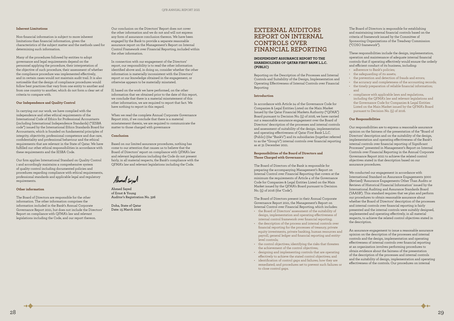#### **Inherent Limitations**

Non-financial information is subject to more inherent limitations than financial information, given the characteristics of the subject matter and the methods used for determining such information.

Many of the procedures followed by entities to adopt governance and legal requirements depend on the personnel applying the procedure, their interpretation of the objective of such procedure, their assessment of whether the compliance procedure was implemented effectively, and in certain cases would not maintain audit trail. It is also noticeable that the design of compliance procedures would follow best practices that vary from one entity to another and from one country to another, which do not form a clear set of criteria to compare with.

#### **Our Independence and Quality Control**

In carrying out our work, we have complied with the independence and other ethical requirements of the International Code of Ethics for Professional Accountants (including International Independence Standards) ("IESBA code") issued by the International Ethics Standards Board for Accountants, which is founded on fundamental principles of integrity, objectivity, professional competence and due care, confidentiality and professional behaviour and the ethical requirements that are relevant in the State of Qatar. We have fulfilled our other ethical responsibilities in accordance with these requirements and the IESBA Code.

Our firm applies International Standard on Quality Control 1 and accordingly maintains a comprehensive system of quality control including documented policies and procedures regarding compliance with ethical requirements, professional standards and applicable legal and regulatory requirements.

#### **Other information**

The Board of Directors are responsible for the other information. The other information comprises the information included in the Bank's Annual Corporate Governance Report 2021, but does not include the Directors' Report on compliance with QFMA's law and relevant legislations including the Code, and our report thereon.

Our conclusion on the Directors' Report does not cover the other information and we do not and will not express any form of assurance conclusion thereon. We have been engaged by the Bank to provide a separate reasonable assurance report on the Management's Report on Internal Control Framework over Financial Reporting, included within the other information.

In connection with our engagement of the Directors' report, our responsibility is to read the other information identified above and, in doing so, consider whether the other information is materially inconsistent with the Directors' report or our knowledge obtained in the engagement, or otherwise appears to be materially misstated.

If, based on the work we have performed, on the other information that we obtained prior to the date of this report, we conclude that there is a material misstatement of this other information, we are required to report that fact. We have nothing to report in this regard.

When we read the complete Annual Corporate Governance Report 2021, if we conclude that there is a material misstatement therein, we are required to communicate the matter to those charged with governance

#### **Conclusion**

Based on our limited assurance procedures, nothing has come to our attention that causes us to believe that the Board of Directors' report on compliance with QFMA's law and relevant legislations including the Code do not present fairly, in all material respects, the Bank's compliance with the QFMA's law and relevant legislations including the Code.

Ahmed Saged

Ahmed Sayed of Ernst & Young Auditor's Registration No. 326

Doha, State of Qatar Date: 15 March 2022

## **EXTERNAL AUDITORS REPORT ON INTERNAL CONTROLS OVER FINANCIAL REPORTING**

#### **INDEPENDENT ASSURANCE REPORT TO THE SHAREHOLDERS OF QATAR FIRST BANK L.L.C. (PUBLIC)**

Reporting on the Description of the Processes and Internal Controls and Suitability of the Design, Implementation and Operating Effectiveness of Internal Controls over Financial Reporting

#### **Introduction**

In accordance with Article 24 of the Governance Code for Companies & Legal Entities Listed on the Main Market Issued by the Qatar Financial Markets Authority ("QFMA") Board pursuant to Decision No. (5) of 2016, we have carried out a reasonable assurance engagement over the Board of Directors' description of the processes and internal controls and assessment of suitability of the design, implementation and operating effectiveness of Qatar First Bank L.L.C. (Public) (the "Bank's") and its subsidiaries (together referred to as the "Group's") internal controls over financial reporting as at 31 December 2021.

#### **Responsibilities of the Board of Directors and Those Charged with Governance**

The Board of Directors of the Bank is responsible for preparing the accompanying Management's Report on Internal Control over Financial Reporting that covers at the minimum the requirements of Article 4 of the Governance Code for Companies & Legal Entities Listed on the Main Market issued by the QFMA's Board pursuant to Decision No. (5) of 2016 (the 'Code').

The Board of Directors present in their Annual Corporate Governance Report 2021, the Management's Report on Internal Control over Financial Reporting, which includes:

- the Board of Directors' assessment of the suitability of design, implementation and operating effectiveness of internal control framework over financial reporting;
- the description of the process and internal controls over financial reporting for the processes of treasury, private equity investments, private banking, human resources and payroll, general ledger and financial reporting and entitylevel controls;
- the control objectives; identifying the risks that threaten the achievement of the control objectives;
- designing and implementing controls that are operating effectively to achieve the stated control objectives; and
- identification of control gaps and failures; how they are remediated; and procedures set to prevent such failures or to close control gaps.

The Board of Directors is responsible for establishing and maintaining internal financial controls based on the criteria of framework issued by the Committee of Sponsoring Organizations of the Treadway Commission ("COSO framework").

These responsibilities include the design, implementation, operation and maintenance of adequate internal financial controls that if operating effectively would ensure the orderly and efficient conduct of its business, including:

- adherence to Bank's policies;
- the safeguarding of its assets;
- the prevention and detection of frauds and errors;
- the accuracy and completeness of the accounting records;
- the timely preparation of reliable financial information; and
- compliance with applicable laws and regulations, including the QFMA's law and relevant legislations and the Governance Code for Companies & Legal Entities Listed on the Main Market issued by the QFMA's Board pursuant to Decision No. (5) of 2016.

#### **Our Responsibilities**

Our responsibilities are to express a reasonable assurance opinion on the fairness of the presentation of the "Board of Directors' description and on the suitability of the design, implementation and operating effectiveness of the Bank's internal controls over financial reporting of Significant Processes" presented in Management's Report on Internal Controls over Financial Reporting in the Annual Corporate Governance Report 2021 to achieve the related control objectives stated in that description based on our assurance procedures.

We conducted our engagement in accordance with International Standard on Assurance Engagements 3000 (Revised) 'Assurance Engagements Other Than Audits or Reviews of Historical Financial Information' issued by the International Auditing and Assurance Standards Board ('IAASB'). This standard requires that we plan and perform our procedures to obtain reasonable assurance about whether the Board of Directors' description of the processes and internal controls over financial reporting is fairly presented and the internal controls were suitably designed, implemented and operating effectively, in all material respects, to achieve the related control objectives stated in the description.

An assurance engagement to issue a reasonable assurance opinion on the description of the processes and internal controls and the design, implementation and operating effectiveness of internal controls over financial reporting at an organization involves performing procedures to obtain evidence about the fairness of the presentation of the description of the processes and internal controls and the suitability of design, implementation and operating effectiveness of the controls. Our procedures on internal